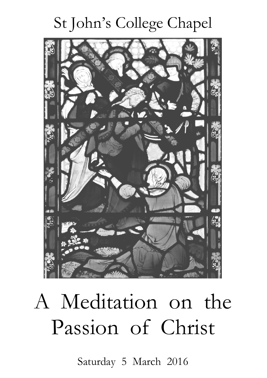## St John's College Chapel



# A Meditation on the Passion of Christ

Saturday 5 March 2016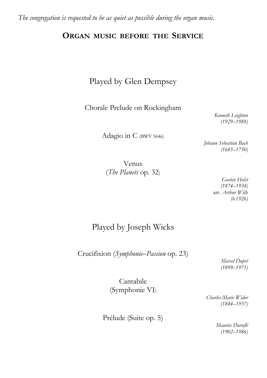*The congregation is requested to be as quiet as possible during the organ music.*

#### **ORGAN MUSIC BEFORE THE SERVICE**

#### Played by Glen Dempsey

Chorale Prelude on Rockingham

*Kenneth Leighton (1929–1988)*

*Johann Sebastian Bach (1685–1750)*

Adagio in C (BWV 564ii)

Venus (*The Planets* op. 32)

*Gustav Holst (1874–1934)* arr. *Arthur Wills (b.1926)*

#### Played by Joseph Wicks

Crucifixion (*Symphonie–Passion* op. 23)

*Marcel Dupré (1899–1971)*

Cantabile (Symphonie VI)

> *Charles-Marie Widor (1844–1937)*

Prélude (Suite op. 5)

*Maurice Duruflé (1902–1986)*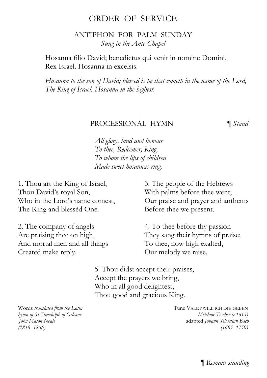#### ORDER OF SERVICE

ANTIPHON FOR PALM SUNDAY *Sung in the Ante-Chapel*

Hosanna filio David; benedictus qui venit in nomine Domini, Rex Israel. Hosanna in excelsis.

*Hosanna to the son of David; blessed is he that cometh in the name of the Lord, The King of Israel. Hosanna in the highest.*

#### PROCESSIONAL HYMN ¶ *Stand*

*All glory, laud and honour To thee, Redeemer, King, To whom the lips of children Made sweet hosannas ring.*

1. Thou art the King of Israel, Thou David's royal Son, Who in the Lord's name comest, The King and blessèd One.

2. The company of angels Are praising thee on high, And mortal men and all things Created make reply.

3. The people of the Hebrews With palms before thee went; Our praise and prayer and anthems Before thee we present.

4. To thee before thy passion They sang their hymns of praise; To thee, now high exalted, Our melody we raise.

5. Thou didst accept their praises, Accept the prayers we bring, Who in all good delightest, Thou good and gracious King.

*hymn of St Theodulph of Orleans* 

Words *translated from the Latin*<br> *bymn* of *St Theodulph of Orleans*<br> *Melchior Tescher (c.1613) John Mason Neale* adapted *Johann Sebastian Bach (1818–1866) (1685–1750)*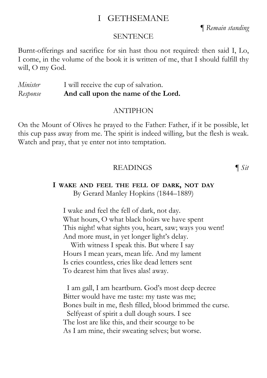#### I GETHSEMANE

¶ *Remain standing*

#### **SENTENCE**

Burnt-offerings and sacrifice for sin hast thou not required: then said I, Lo, I come, in the volume of the book it is written of me, that I should fulfill thy will, O my God.

*Minister* I will receive the cup of salvation. *Response* **And call upon the name of the Lord.**

#### ANTIPHON

On the Mount of Olives he prayed to the Father: Father, if it be possible, let this cup pass away from me. The spirit is indeed willing, but the flesh is weak. Watch and pray, that ye enter not into temptation.

#### READINGS ¶ *Sit*

#### **I WAKE AND FEEL THE FELL OF DARK, NOT DAY** By Gerard Manley Hopkins (1844–1889)

I wake and feel the fell of dark, not day. What hours, O what black hoürs we have spent This night! what sights you, heart, saw; ways you went! And more must, in yet longer light's delay.

 With witness I speak this. But where I say Hours I mean years, mean life. And my lament Is cries countless, cries like dead letters sent To dearest him that lives alas! away.

 I am gall, I am heartburn. God's most deep decree Bitter would have me taste: my taste was me; Bones built in me, flesh filled, blood brimmed the curse.

 Selfyeast of spirit a dull dough sours. I see The lost are like this, and their scourge to be As I am mine, their sweating selves; but worse.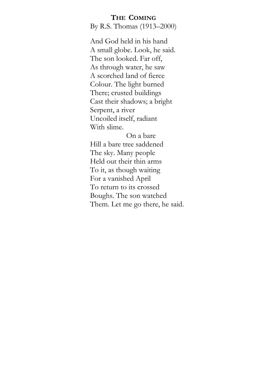#### **THE COMING**

By R.S. Thomas (1913–2000)

And God held in his hand A small globe. Look, he said. The son looked. Far off, As through water, he saw A scorched land of fierce Colour. The light burned There; crusted buildings Cast their shadows; a bright Serpent, a river Uncoiled itself, radiant With slime.

On a bare Hill a bare tree saddened The sky. Many people Held out their thin arms To it, as though waiting For a vanished April To return to its crossed Boughs. The son watched Them. Let me go there, he said.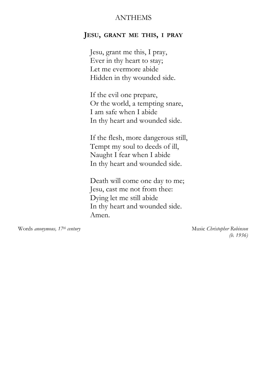#### ANTHEMS

#### **JESU, GRANT ME THIS, I PRAY**

Jesu, grant me this, I pray, Ever in thy heart to stay; Let me evermore abide Hidden in thy wounded side.

If the evil one prepare, Or the world, a tempting snare, I am safe when I abide In thy heart and wounded side.

If the flesh, more dangerous still, Tempt my soul to deeds of ill, Naught I fear when I abide In thy heart and wounded side.

Death will come one day to me; Jesu, cast me not from thee: Dying let me still abide In thy heart and wounded side. Amen.

Words *anonymous, 17th century* Music *Christopher Robinson (b. 1936)*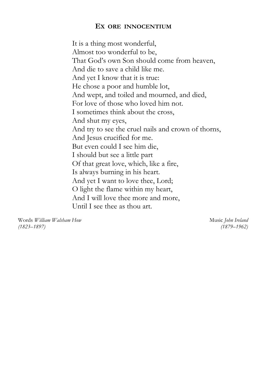#### **EX ORE INNOCENTIUM**

It is a thing most wonderful, Almost too wonderful to be, That God's own Son should come from heaven, And die to save a child like me. And yet I know that it is true: He chose a poor and humble lot, And wept, and toiled and mourned, and died, For love of those who loved him not. I sometimes think about the cross, And shut my eyes, And try to see the cruel nails and crown of thorns, And Jesus crucified for me. But even could I see him die, I should but see a little part Of that great love, which, like a fire, Is always burning in his heart. And yet I want to love thee, Lord; O light the flame within my heart, And I will love thee more and more, Until I see thee as thou art.

Words *William Walsham How* Music *John Ireland (1823–1897) (1879–1962)*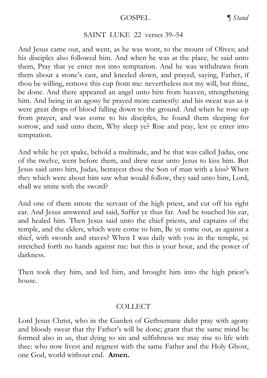#### GOSPEL *¶ Stand*

#### SAINT LUKE 22 verses 39–54

And Jesus came out, and went, as he was wont, to the mount of Olives; and his disciples also followed him. And when he was at the place, he said unto them, Pray that ye enter not into temptation. And he was withdrawn from them about a stone's cast, and kneeled down, and prayed, saying, Father, if thou be willing, remove this cup from me: nevertheless not my will, but thine, be done. And there appeared an angel unto him from heaven, strengthening him. And being in an agony he prayed more earnestly: and his sweat was as it were great drops of blood falling down to the ground. And when he rose up from prayer, and was come to his disciples, he found them sleeping for sorrow, and said unto them, Why sleep ye? Rise and pray, lest ye enter into temptation.

And while he yet spake, behold a multitude, and he that was called Judas, one of the twelve, went before them, and drew near unto Jesus to kiss him. But Jesus said unto him, Judas, betrayest thou the Son of man with a kiss? When they which were about him saw what would follow, they said unto him, Lord, shall we smite with the sword?

And one of them smote the servant of the high priest, and cut off his right ear. And Jesus answered and said, Suffer ye thus far. And he touched his ear, and healed him. Then Jesus said unto the chief priests, and captains of the temple, and the elders, which were come to him, Be ye come out, as against a thief, with swords and staves? When I was daily with you in the temple, ye stretched forth no hands against me: but this is your hour, and the power of darkness.

Then took they him, and led him, and brought him into the high priest's house.

#### **COLLECT**

Lord Jesus Christ, who in the Garden of Gethsemane didst pray with agony and bloody sweat that thy Father's will be done; grant that the same mind be formed also in us, that dying to sin and selfishness we may rise to life with thee: who now livest and reignest with the same Father and the Holy Ghost, one God, world without end. **Amen.**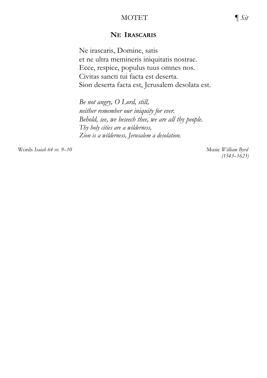#### MOTET ¶ *Sit*

#### **NE IRASCARIS**

Ne irascaris, Domine, satis et ne ultra memineris iniquitatis nostrae. Ecce, respice, populus tuus omnes nos. Civitas sancti tui facta est deserta. Sion deserta facta est, Jerusalem desolata est.

*Be not angry, O Lord, still, neither remember our iniquity for ever. Behold, see, we beseech thee, we are all thy people. Thy holy cities are a wilderness, Zion is a wilderness, Jerusalem a desolation.*

Words *Isaiah 64 vv. 9–10* Music *William Byrd*

 *(1543–1623)*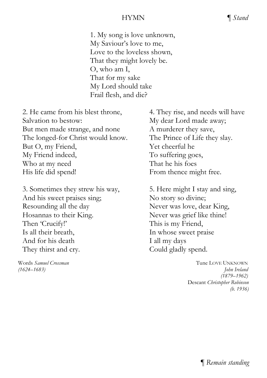#### HYMN ¶ *Stand*

1. My song is love unknown, My Saviour's love to me, Love to the loveless shown, That they might lovely be. O, who am I, That for my sake My Lord should take Frail flesh, and die?

2. He came from his blest throne, Salvation to bestow: But men made strange, and none The longed-for Christ would know. But O, my Friend, My Friend indeed, Who at my need His life did spend!

3. Sometimes they strew his way, And his sweet praises sing; Resounding all the day Hosannas to their King. Then 'Crucify!' Is all their breath, And for his death They thirst and cry.

4. They rise, and needs will have My dear Lord made away; A murderer they save, The Prince of Life they slay. Yet cheerful he To suffering goes, That he his foes From thence might free.

5. Here might I stay and sing, No story so divine; Never was love, dear King, Never was grief like thine! This is my Friend, In whose sweet praise I all my days Could gladly spend.

Words *Samuel Crossman* Tune LOVE UNKNOWN *(1624–1683) John Ireland (1879–1962)* Descant *Christopher Robinson (b. 1936)*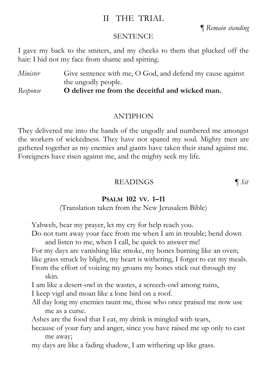#### II THE TRIAL

¶ *Remain standing*

#### **SENTENCE**

I gave my back to the smiters, and my cheeks to them that plucked off the hair: I hid not my face from shame and spitting.

*Minister* Give sentence with me, O God, and defend my cause against the ungodly people.

*Response* **O deliver me from the deceitful and wicked man.**

#### ANTIPHON

They delivered me into the hands of the ungodly and numbered me amongst the workers of wickedness. They have not spared my soul. Mighty men are gathered together as my enemies and giants have taken their stand against me. Foreigners have risen against me, and the mighty seek my life.

#### READINGS ¶ *Sit*

#### **PSALM 102 VV. 1–11**

(Translation taken from the New Jerusalem Bible)

Yahweh, hear my prayer, let my cry for help reach you.

Do not turn away your face from me when I am in trouble; bend down and listen to me, when I call, be quick to answer me!

For my days are vanishing like smoke, my bones burning like an oven;

like grass struck by blight, my heart is withering, I forget to eat my meals.

From the effort of voicing my groans my bones stick out through my skin.

I am like a desert-owl in the wastes, a screech-owl among ruins,

I keep vigil and moan like a lone bird on a roof.

All day long my enemies taunt me, those who once praised me now use me as a curse.

Ashes are the food that I eat, my drink is mingled with tears,

because of your fury and anger, since you have raised me up only to cast me away;

my days are like a fading shadow, I am withering up like grass.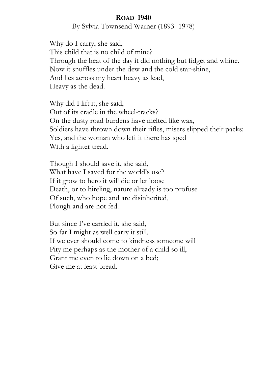#### **ROAD 1940**

By Sylvia Townsend Warner (1893–1978)

Why do I carry, she said, This child that is no child of mine? Through the heat of the day it did nothing but fidget and whine. Now it snuffles under the dew and the cold star-shine, And lies across my heart heavy as lead, Heavy as the dead.

Why did I lift it, she said, Out of its cradle in the wheel-tracks? On the dusty road burdens have melted like wax, Soldiers have thrown down their rifles, misers slipped their packs: Yes, and the woman who left it there has sped With a lighter tread.

Though I should save it, she said, What have I saved for the world's use? If it grow to hero it will die or let loose Death, or to hireling, nature already is too profuse Of such, who hope and are disinherited, Plough and are not fed.

But since I've carried it, she said, So far I might as well carry it still. If we ever should come to kindness someone will Pity me perhaps as the mother of a child so ill, Grant me even to lie down on a bed; Give me at least bread.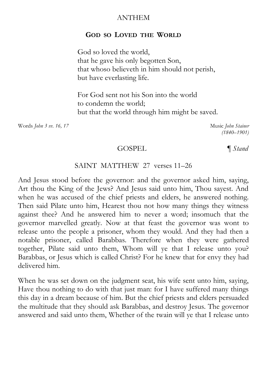#### ANTHEM

#### **GOD SO LOVED THE WORLD**

God so loved the world, that he gave his only begotten Son, that whoso believeth in him should not perish, but have everlasting life.

For God sent not his Son into the world to condemn the world; but that the world through him might be saved.

Words *John 3 vv. 16, 17* Music *John Stainer*

 *(1840–1901)* 

#### GOSPEL *¶ Stand*

#### SAINT MATTHEW 27 verses 11–26

And Jesus stood before the governor: and the governor asked him, saying, Art thou the King of the Jews? And Jesus said unto him, Thou sayest. And when he was accused of the chief priests and elders, he answered nothing. Then said Pilate unto him, Hearest thou not how many things they witness against thee? And he answered him to never a word; insomuch that the governor marvelled greatly. Now at that feast the governor was wont to release unto the people a prisoner, whom they would. And they had then a notable prisoner, called Barabbas. Therefore when they were gathered together, Pilate said unto them, Whom will ye that I release unto you? Barabbas, or Jesus which is called Christ? For he knew that for envy they had delivered him.

When he was set down on the judgment seat, his wife sent unto him, saying, Have thou nothing to do with that just man: for I have suffered many things this day in a dream because of him. But the chief priests and elders persuaded the multitude that they should ask Barabbas, and destroy Jesus. The governor answered and said unto them, Whether of the twain will ye that I release unto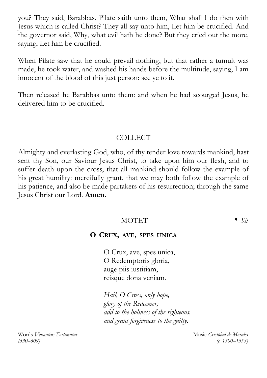you? They said, Barabbas. Pilate saith unto them, What shall I do then with Jesus which is called Christ? They all say unto him, Let him be crucified. And the governor said, Why, what evil hath he done? But they cried out the more, saying, Let him be crucified.

When Pilate saw that he could prevail nothing, but that rather a tumult was made, he took water, and washed his hands before the multitude, saying, I am innocent of the blood of this just person: see ye to it.

Then released he Barabbas unto them: and when he had scourged Jesus, he delivered him to be crucified.

#### COLLECT

Almighty and everlasting God, who, of thy tender love towards mankind, hast sent thy Son, our Saviour Jesus Christ, to take upon him our flesh, and to suffer death upon the cross, that all mankind should follow the example of his great humility: mercifully grant, that we may both follow the example of his patience, and also be made partakers of his resurrection; through the same Jesus Christ our Lord. **Amen.**

#### MOTET ¶ *Sit*

#### **O CRUX, AVE, SPES UNICA**

O Crux, ave, spes unica, O Redemptoris gloria, auge piis iustitiam, reisque dona veniam.

*Hail, O Cross, only hope, glory of the Redeemer; add to the holiness of the righteous, and grant forgiveness to the guilty.*

Words *Venantius Fortunatus* Music *Cristóbal de Morales (530–609) (c. 1500–1553)*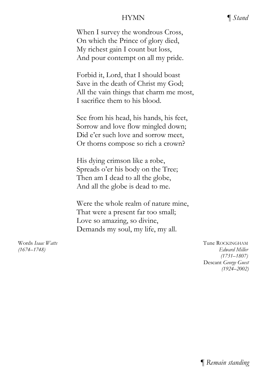#### HYMN ¶ *Stand*

When I survey the wondrous Cross, On which the Prince of glory died, My richest gain I count but loss, And pour contempt on all my pride.

Forbid it, Lord, that I should boast Save in the death of Christ my God; All the vain things that charm me most, I sacrifice them to his blood.

See from his head, his hands, his feet, Sorrow and love flow mingled down; Did e'er such love and sorrow meet, Or thorns compose so rich a crown?

His dying crimson like a robe, Spreads o'er his body on the Tree; Then am I dead to all the globe, And all the globe is dead to me.

Were the whole realm of nature mine, That were a present far too small; Love so amazing, so divine, Demands my soul, my life, my all.

Words *Isaac Watts* Tune ROCKINGHAM *(1674–1748) Edward Miller (1731–1807)* Descant *George Guest (1924–2002)*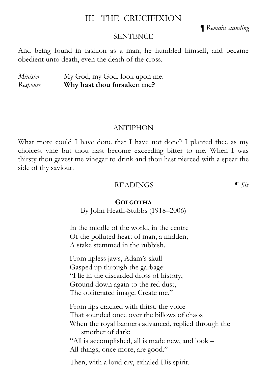#### III THE CRUCIFIXION

¶ *Remain standing*

#### **SENTENCE**

And being found in fashion as a man, he humbled himself, and became obedient unto death, even the death of the cross.

*Minister* My God, my God, look upon me. *Response* **Why hast thou forsaken me?**

#### **ANTIPHON**

What more could I have done that I have not done? I planted thee as my choicest vine but thou hast become exceeding bitter to me. When I was thirsty thou gavest me vinegar to drink and thou hast pierced with a spear the side of thy saviour.

#### READINGS ¶ *Sit*

**GOLGOTHA**

By John Heath-Stubbs (1918–2006)

In the middle of the world, in the centre Of the polluted heart of man, a midden; A stake stemmed in the rubbish.

From lipless jaws, Adam's skull Gasped up through the garbage: "I lie in the discarded dross of history, Ground down again to the red dust, The obliterated image. Create me."

From lips cracked with thirst, the voice That sounded once over the billows of chaos When the royal banners advanced, replied through the smother of dark: "All is accomplished, all is made new, and look – All things, once more, are good."

Then, with a loud cry, exhaled His spirit.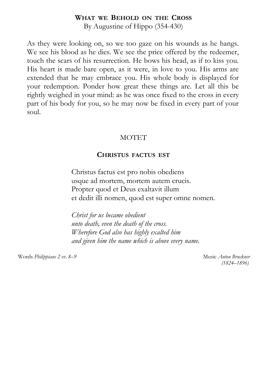#### **WHAT WE BEHOLD ON THE CROSS**

By Augustine of Hippo (354-430)

As they were looking on, so we too gaze on his wounds as he hangs. We see his blood as he dies. We see the price offered by the redeemer, touch the scars of his resurrection. He bows his head, as if to kiss you. His heart is made bare open, as it were, in love to you. His arms are extended that he may embrace you. His whole body is displayed for your redemption. Ponder how great these things are. Let all this be rightly weighed in your mind: as he was once fixed to the cross in every part of his body for you, so he may now be fixed in every part of your soul.

#### **MOTET**

#### **CHRISTUS FACTUS EST**

Christus factus est pro nobis obediens usque ad mortem, mortem autem crucis. Propter quod et Deus exaltavit illum et dedit illi nomen, quod est super omne nomen.

*Christ for us became obedient unto death, even the death of the cross. Wherefore God also has highly exalted him and given him the name which is above every name.*

Words *Philippians 2 vv. 8–9* Music *Anton Bruckner*

*(1824–1896)*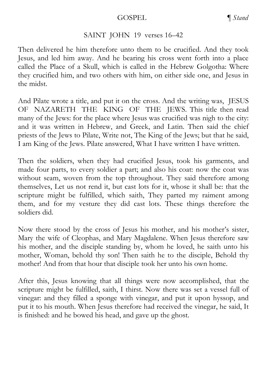#### GOSPEL *¶ Stand*

#### SAINT JOHN 19 verses 16–42

Then delivered he him therefore unto them to be crucified. And they took Jesus, and led him away. And he bearing his cross went forth into a place called the Place of a Skull, which is called in the Hebrew Golgotha: Where they crucified him, and two others with him, on either side one, and Jesus in the midst.

And Pilate wrote a title, and put it on the cross. And the writing was, JESUS OF NAZARETH THE KING OF THE JEWS. This title then read many of the Jews: for the place where Jesus was crucified was nigh to the city: and it was written in Hebrew, and Greek, and Latin. Then said the chief priests of the Jews to Pilate, Write not, The King of the Jews; but that he said, I am King of the Jews. Pilate answered, What I have written I have written.

Then the soldiers, when they had crucified Jesus, took his garments, and made four parts, to every soldier a part; and also his coat: now the coat was without seam, woven from the top throughout. They said therefore among themselves, Let us not rend it, but cast lots for it, whose it shall be: that the scripture might be fulfilled, which saith, They parted my raiment among them, and for my vesture they did cast lots. These things therefore the soldiers did.

Now there stood by the cross of Jesus his mother, and his mother's sister, Mary the wife of Cleophas, and Mary Magdalene. When Jesus therefore saw his mother, and the disciple standing by, whom he loved, he saith unto his mother, Woman, behold thy son! Then saith he to the disciple, Behold thy mother! And from that hour that disciple took her unto his own home.

After this, Jesus knowing that all things were now accomplished, that the scripture might be fulfilled, saith, I thirst. Now there was set a vessel full of vinegar: and they filled a sponge with vinegar, and put it upon hyssop, and put it to his mouth. When Jesus therefore had received the vinegar, he said, It is finished: and he bowed his head, and gave up the ghost.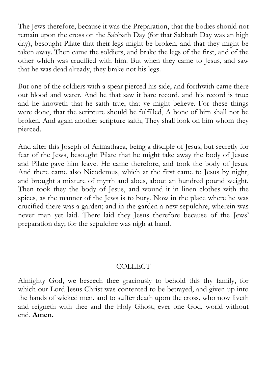The Jews therefore, because it was the Preparation, that the bodies should not remain upon the cross on the Sabbath Day (for that Sabbath Day was an high day), besought Pilate that their legs might be broken, and that they might be taken away. Then came the soldiers, and brake the legs of the first, and of the other which was crucified with him. But when they came to Jesus, and saw that he was dead already, they brake not his legs.

But one of the soldiers with a spear pierced his side, and forthwith came there out blood and water. And he that saw it bare record, and his record is true: and he knoweth that he saith true, that ye might believe. For these things were done, that the scripture should be fulfilled, A bone of him shall not be broken. And again another scripture saith, They shall look on him whom they pierced.

And after this Joseph of Arimathaea, being a disciple of Jesus, but secretly for fear of the Jews, besought Pilate that he might take away the body of Jesus: and Pilate gave him leave. He came therefore, and took the body of Jesus. And there came also Nicodemus, which at the first came to Jesus by night, and brought a mixture of myrrh and aloes, about an hundred pound weight. Then took they the body of Jesus, and wound it in linen clothes with the spices, as the manner of the Jews is to bury. Now in the place where he was crucified there was a garden; and in the garden a new sepulchre, wherein was never man yet laid. There laid they Jesus therefore because of the Jews' preparation day; for the sepulchre was nigh at hand.

#### **COLLECT**

Almighty God, we beseech thee graciously to behold this thy family, for which our Lord Jesus Christ was contented to be betrayed, and given up into the hands of wicked men, and to suffer death upon the cross, who now liveth and reigneth with thee and the Holy Ghost, ever one God, world without end. **Amen.**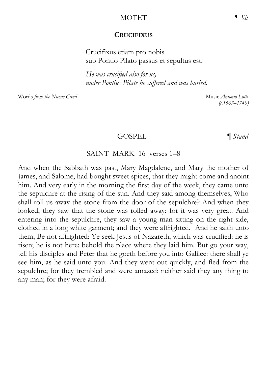#### MOTET ¶ *Sit*

#### **CRUCIFIXUS**

Crucifixus etiam pro nobis sub Pontio Pilato passus et sepultus est.

*He was crucified also for us, under Pontius Pilate he suffered and was buried.*

Words *from the Nicene Creed* Music *Antonio Lotti* Music *Antonio Lotti* 

*(c.1667–1740)*

#### GOSPEL **q** *Stand*

#### SAINT MARK 16 verses 1–8

And when the Sabbath was past, Mary Magdalene, and Mary the mother of James, and Salome, had bought sweet spices, that they might come and anoint him. And very early in the morning the first day of the week, they came unto the sepulchre at the rising of the sun. And they said among themselves, Who shall roll us away the stone from the door of the sepulchre? And when they looked, they saw that the stone was rolled away: for it was very great. And entering into the sepulchre, they saw a young man sitting on the right side, clothed in a long white garment; and they were affrighted. And he saith unto them, Be not affrighted: Ye seek Jesus of Nazareth, which was crucified: he is risen; he is not here: behold the place where they laid him. But go your way, tell his disciples and Peter that he goeth before you into Galilee: there shall ye see him, as he said unto you. And they went out quickly, and fled from the sepulchre; for they trembled and were amazed: neither said they any thing to any man; for they were afraid.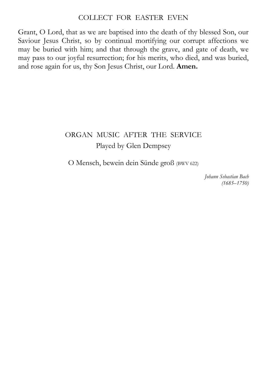#### COLLECT FOR EASTER EVEN

Grant, O Lord, that as we are baptised into the death of thy blessed Son, our Saviour Jesus Christ, so by continual mortifying our corrupt affections we may be buried with him; and that through the grave, and gate of death, we may pass to our joyful resurrection; for his merits, who died, and was buried, and rose again for us, thy Son Jesus Christ, our Lord. **Amen.**

#### ORGAN MUSIC AFTER THE SERVICE Played by Glen Dempsey

O Mensch, bewein dein Sünde groß (BWV 622)

*Johann Sebastian Bach (1685–1750)*